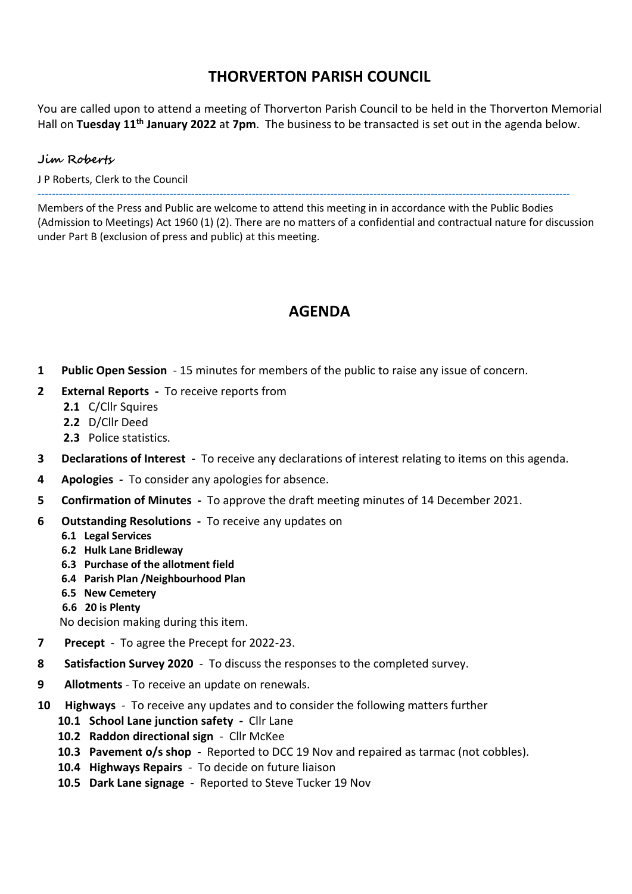### **THORVERTON PARISH COUNCIL**

You are called upon to attend a meeting of Thorverton Parish Council to be held in the Thorverton Memorial Hall on Tuesday 11<sup>th</sup> January 2022 at 7pm. The business to be transacted is set out in the agenda below.

#### **Jim Roberts**

J P Roberts, Clerk to the Council

-----------------------------------------------------------------------------------------------------------------------------------------------------

Members of the Press and Public are welcome to attend this meeting in in accordance with the Public Bodies (Admission to Meetings) Act 1960 (1) (2). There are no matters of a confidential and contractual nature for discussion under Part B (exclusion of press and public) at this meeting.

# **AGENDA**

- **1 Public Open Session** 15 minutes for members of the public to raise any issue of concern.
- **2 External Reports** To receive reports from
	- **2.1** C/Cllr Squires
	- **2.2** D/Cllr Deed
	- **2.3** Police statistics.
- **3 Declarations of Interest** To receive any declarations of interest relating to items on this agenda.
- **4 Apologies** To consider any apologies for absence.
- **5 Confirmation of Minutes** To approve the draft meeting minutes of 14 December 2021.
- **6 Outstanding Resolutions** To receive any updates on
	- **6.1 Legal Services**
	- **6.2 Hulk Lane Bridleway**
	- **6.3 Purchase of the allotment field**
	- **6.4 Parish Plan /Neighbourhood Plan**
	- **6.5 New Cemetery**
	- **6.6 20 is Plenty**

No decision making during this item.

- **7 Precept**  To agree the Precept for 2022-23.
- **8 Satisfaction Survey 2020** To discuss the responses to the completed survey.
- **9 Allotments** To receive an update on renewals.
- **10 Highways**  To receive any updates and to consider the following matters further
	- **10.1 School Lane junction safety** Cllr Lane
	- **10.2 Raddon directional sign**  Cllr McKee
	- **10.3 Pavement o/s shop**  Reported to DCC 19 Nov and repaired as tarmac (not cobbles).
	- **10.4 Highways Repairs** To decide on future liaison
	- **10.5 Dark Lane signage** Reported to Steve Tucker 19 Nov